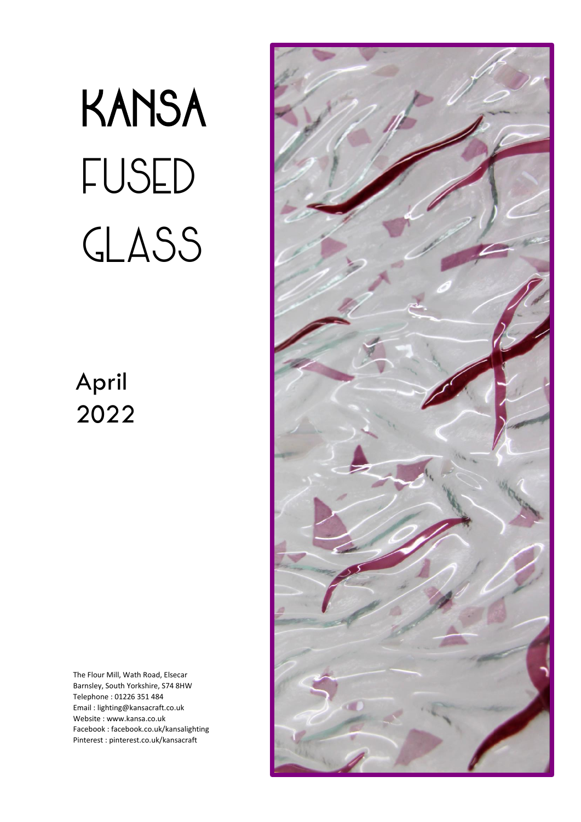# KANSA fused GLASS

## April 2022

The Flour Mill, Wath Road, Elsecar Barnsley, South Yorkshire, S74 8HW Telephone : 01226 351 484 Email : lighting@kansacraft.co.uk Website : www.kansa.co.uk Facebook : facebook.co.uk/kansalighting Pinterest : pinterest.co.uk/kansacraft

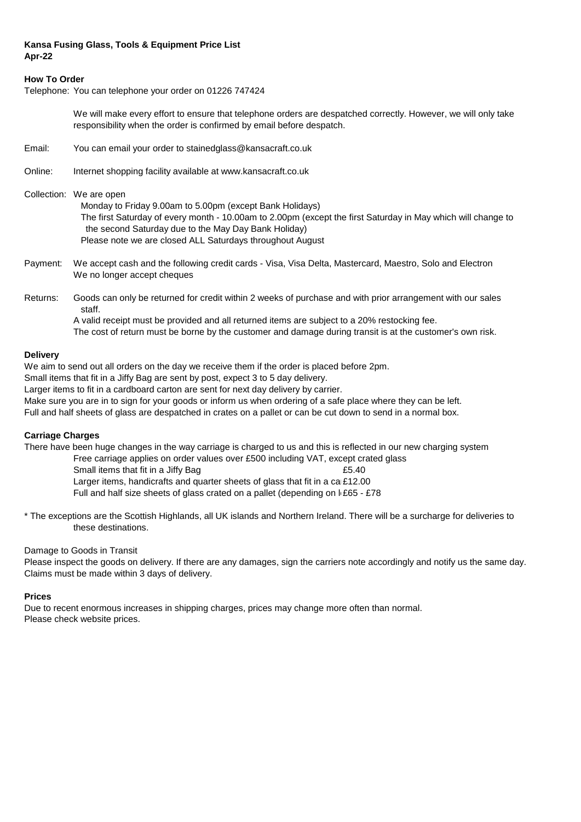#### **Kansa Fusing Glass, Tools & Equipment Price List Apr-22**

#### **How To Order**

Telephone: You can telephone your order on 01226 747424

We will make every effort to ensure that telephone orders are despatched correctly. However, we will only take responsibility when the order is confirmed by email before despatch.

- Email: You can email your order to stainedglass@kansacraft.co.uk
- Online: Internet shopping facility available at www.kansacraft.co.uk

Collection: We are open

 Monday to Friday 9.00am to 5.00pm (except Bank Holidays) The first Saturday of every month - 10.00am to 2.00pm (except the first Saturday in May which will change to the second Saturday due to the May Day Bank Holiday) Please note we are closed ALL Saturdays throughout August

- Payment: We accept cash and the following credit cards Visa, Visa Delta, Mastercard, Maestro, Solo and Electron We no longer accept cheques
- Returns: Goods can only be returned for credit within 2 weeks of purchase and with prior arrangement with our sales staff.

A valid receipt must be provided and all returned items are subject to a 20% restocking fee. The cost of return must be borne by the customer and damage during transit is at the customer's own risk.

#### **Delivery**

We aim to send out all orders on the day we receive them if the order is placed before 2pm.

Small items that fit in a Jiffy Bag are sent by post, expect 3 to 5 day delivery.

Larger items to fit in a cardboard carton are sent for next day delivery by carrier.

Make sure you are in to sign for your goods or inform us when ordering of a safe place where they can be left.

Full and half sheets of glass are despatched in crates on a pallet or can be cut down to send in a normal box.

#### **Carriage Charges**

There have been huge changes in the way carriage is charged to us and this is reflected in our new charging system

Free carriage applies on order values over £500 including VAT, except crated glass

Small items that fit in a Jiffy Bag **EXALL INCO CONTENT** ES.40

Larger items, handicrafts and quarter sheets of glass that fit in a ca  $£12.00$ 

Full and half size sheets of glass crated on a pallet (depending on  $E65 - 278$ 

\* The exceptions are the Scottish Highlands, all UK islands and Northern Ireland. There will be a surcharge for deliveries to these destinations.

#### Damage to Goods in Transit

Please inspect the goods on delivery. If there are any damages, sign the carriers note accordingly and notify us the same day. Claims must be made within 3 days of delivery.

#### **Prices**

Due to recent enormous increases in shipping charges, prices may change more often than normal. Please check website prices.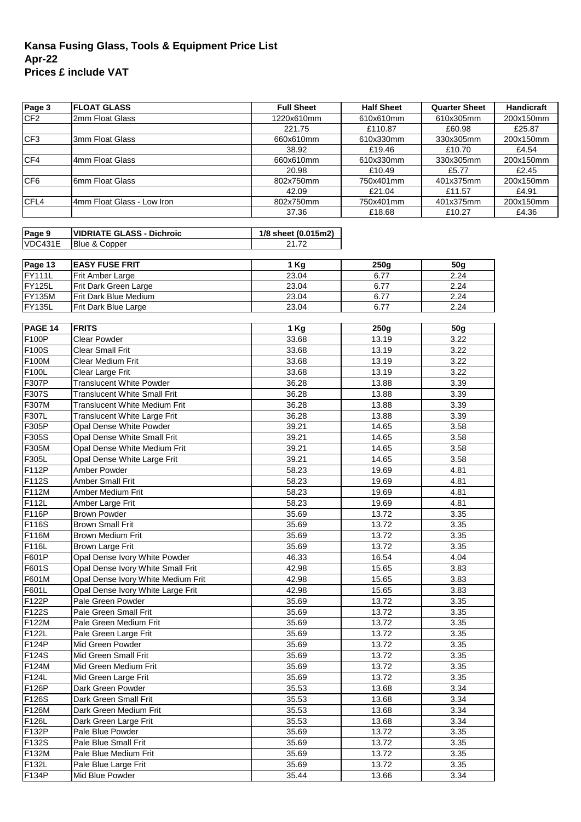### **Kansa Fusing Glass, Tools & Equipment Price List Apr-22 Prices £ include VAT**

| Page 3             | <b>FLOAT GLASS</b>                   | <b>Full Sheet</b>   | <b>Half Sheet</b> | <b>Quarter Sheet</b> | Handicraft |
|--------------------|--------------------------------------|---------------------|-------------------|----------------------|------------|
| CF <sub>2</sub>    | 2mm Float Glass                      | 1220x610mm          | 610x610mm         | 610x305mm            | 200x150mm  |
|                    |                                      | 221.75              | £110.87           | £60.98               | £25.87     |
| CF3                | 3mm Float Glass                      | 660x610mm           | 610x330mm         | 330x305mm            | 200x150mm  |
|                    |                                      | 38.92               | £19.46            | £10.70               | £4.54      |
| CF4                | 4mm Float Glass                      | 660x610mm           | 610x330mm         | 330x305mm            | 200x150mm  |
|                    |                                      | 20.98               | £10.49            | £5.77                | £2.45      |
| CF6                | 6mm Float Glass                      | 802x750mm           | 750x401mm         | 401x375mm            | 200x150mm  |
|                    |                                      | 42.09               | £21.04            | £11.57               | £4.91      |
| CFL4               | 4mm Float Glass - Low Iron           | 802x750mm           | 750x401mm         | 401x375mm            | 200x150mm  |
|                    |                                      | 37.36               | £18.68            | £10.27               | £4.36      |
| Page 9             | <b>VIDRIATE GLASS - Dichroic</b>     | 1/8 sheet (0.015m2) |                   |                      |            |
| VDC431E            | Blue & Copper                        | 21.72               |                   |                      |            |
|                    |                                      |                     |                   |                      |            |
| Page 13            | <b>EASY FUSE FRIT</b>                | $1$ Kg              | 250g              | <b>50g</b>           |            |
| <b>FY111L</b>      | Frit Amber Large                     | 23.04               | 6.77              | 2.24                 |            |
| FY125L             | Frit Dark Green Large                | 23.04               | 6.77              | 2.24                 |            |
| <b>FY135M</b>      | Frit Dark Blue Medium                | 23.04               | 6.77              | 2.24                 |            |
| FY135L             | Frit Dark Blue Large                 | 23.04               | 6.77              | 2.24                 |            |
|                    |                                      |                     |                   |                      |            |
| PAGE 14            | <b>FRITS</b>                         | 1 Kg                | 250g              | 50 <sub>g</sub>      |            |
| <b>F100P</b>       | Clear Powder                         | 33.68               | 13.19             | 3.22                 |            |
| F <sub>100</sub> S | <b>Clear Small Frit</b>              | 33.68               | 13.19             | 3.22                 |            |
| F100M              | Clear Medium Frit                    | 33.68               | 13.19             | 3.22                 |            |
| F100L              | Clear Large Frit                     | 33.68               | 13.19             | 3.22                 |            |
| F307P              | <b>Translucent White Powder</b>      | 36.28               | 13.88             | 3.39                 |            |
| F307S              | <b>Translucent White Small Frit</b>  | 36.28               | 13.88             | 3.39                 |            |
| F307M              | <b>Translucent White Medium Frit</b> | 36.28               | 13.88             | 3.39                 |            |
| F307L              | Translucent White Large Frit         | 36.28               | 13.88             | 3.39                 |            |
| F305P              | Opal Dense White Powder              | 39.21               | 14.65             | 3.58                 |            |
| F305S              | Opal Dense White Small Frit          | 39.21               | 14.65             | 3.58                 |            |
| F305M              | Opal Dense White Medium Frit         | 39.21               | 14.65             | 3.58                 |            |
| F305L              | Opal Dense White Large Frit          | 39.21               | 14.65             | 3.58                 |            |
| F112P              | Amber Powder                         | 58.23               | 19.69             | 4.81                 |            |
| F112S              | <b>Amber Small Frit</b>              | 58.23               | 19.69             | 4.81                 |            |
| F112M              | Amber Medium Frit                    | 58.23               | 19.69             | 4.81                 |            |
| F112L              | Amber Large Frit                     | 58.23               | 19.69             | 4.81                 |            |
| F116P              | <b>Brown Powder</b>                  | 35.69               | 13.72             | 3.35                 |            |
| F116S              | <b>Brown Small Frit</b>              | 35.69               | 13.72             | 3.35                 |            |
| F116M              | Brown Medium Frit                    | 35.69               | 13.72             | 3.35                 |            |
| F116L              | <b>Brown Large Frit</b>              | 35.69               | 13.72             | 3.35                 |            |
| F601P              | Opal Dense Ivory White Powder        | 46.33               | 16.54             | 4.04                 |            |
| F601S              | Opal Dense Ivory White Small Frit    | 42.98               | 15.65             | 3.83                 |            |
| F601M              | Opal Dense Ivory White Medium Frit   | 42.98               | 15.65             | 3.83                 |            |
| F601L              | Opal Dense Ivory White Large Frit    | 42.98               | 15.65             | 3.83                 |            |
| F122P              | Pale Green Powder                    | 35.69               | 13.72             | 3.35                 |            |
| F122S              | Pale Green Small Frit                | 35.69               | 13.72             | 3.35                 |            |
| F122M              | Pale Green Medium Frit               | 35.69               | 13.72             | 3.35                 |            |
| F <sub>122</sub> L | Pale Green Large Frit                | 35.69               | 13.72             | 3.35                 |            |
| F124P              | Mid Green Powder                     | 35.69               | 13.72             | 3.35                 |            |
| $\overline{F124S}$ | Mid Green Small Frit                 | 35.69               | 13.72             | 3.35                 |            |
| F124M              | Mid Green Medium Frit                | 35.69               | 13.72             | 3.35                 |            |
| F124L              | Mid Green Large Frit                 | 35.69               | 13.72             | 3.35                 |            |
| F126P              | Dark Green Powder                    | 35.53               | 13.68             | 3.34                 |            |
| F126S              | Dark Green Small Frit                | 35.53               | 13.68             | 3.34                 |            |
| F126M              | Dark Green Medium Frit               | 35.53               | 13.68             | 3.34                 |            |
| F126L              | Dark Green Large Frit                | 35.53               | 13.68             | 3.34                 |            |
| F132P              | Pale Blue Powder                     | 35.69               | 13.72             | 3.35                 |            |
| F132S              | Pale Blue Small Frit                 | 35.69               | 13.72             | 3.35                 |            |
| F132M              | Pale Blue Medium Frit                | 35.69               | 13.72             | 3.35                 |            |
| F132L              | Pale Blue Large Frit                 | 35.69               | 13.72             | 3.35                 |            |
| F134P              | Mid Blue Powder                      | 35.44               | 13.66             | 3.34                 |            |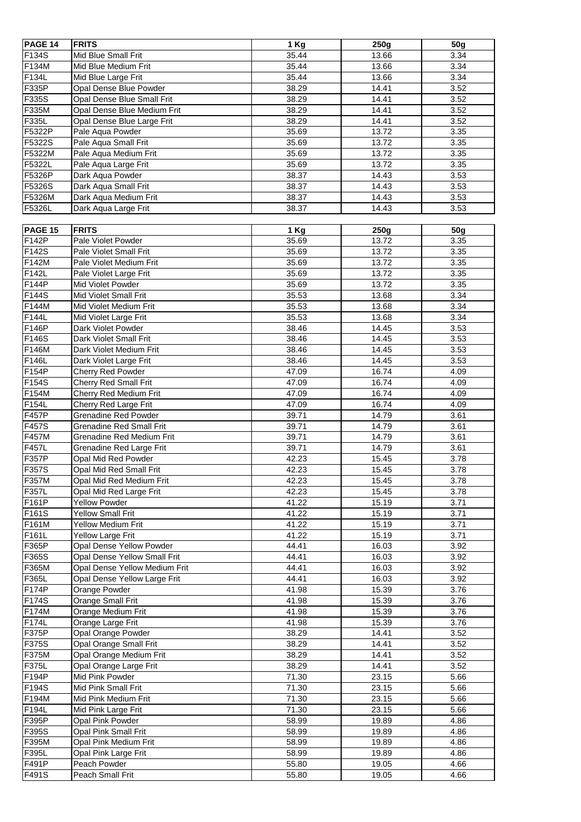| PAGE 14        | <b>FRITS</b>                    | 1 Kg               | 250g  | 50 <sub>g</sub> |
|----------------|---------------------------------|--------------------|-------|-----------------|
| F134S          | Mid Blue Small Frit             | 35.44              | 13.66 | 3.34            |
| F134M          | Mid Blue Medium Frit            | 35.44              | 13.66 | 3.34            |
| F134L          | Mid Blue Large Frit             | 35.44              | 13.66 | 3.34            |
| F335P          | Opal Dense Blue Powder          | 38.29              | 14.41 | 3.52            |
| F335S          | Opal Dense Blue Small Frit      | 38.29              | 14.41 | 3.52            |
| F335M          | Opal Dense Blue Medium Frit     | 38.29              | 14.41 | 3.52            |
| F335L          | Opal Dense Blue Large Frit      | 38.29              | 14.41 | 3.52            |
| F5322P         | Pale Aqua Powder                | 35.69              | 13.72 | 3.35            |
| F5322S         | Pale Aqua Small Frit            | 35.69              | 13.72 | 3.35            |
| F5322M         | Pale Aqua Medium Frit           | 35.69              | 13.72 | 3.35            |
| F5322L         | Pale Aqua Large Frit            | 35.69              | 13.72 | 3.35            |
| F5326P         | Dark Aqua Powder                | 38.37              | 14.43 | 3.53            |
| F5326S         | Dark Aqua Small Frit            | 38.37              | 14.43 | 3.53            |
| F5326M         | Dark Aqua Medium Frit           | 38.37              | 14.43 | 3.53            |
| F5326L         | Dark Aqua Large Frit            | 38.37              | 14.43 | 3.53            |
|                |                                 |                    |       |                 |
| <b>PAGE 15</b> | <b>FRITS</b>                    | 1 Kg               | 250g  | 50g             |
| F142P          | Pale Violet Powder              | 35.69              | 13.72 | 3.35            |
| F142S          | Pale Violet Small Frit          | 35.69              | 13.72 | 3.35            |
| F142M          | Pale Violet Medium Frit         | 35.69              | 13.72 | 3.35            |
| F142L          | Pale Violet Large Frit          | 35.69              | 13.72 | 3.35            |
| F144P          | Mid Violet Powder               | 35.69              | 13.72 | 3.35            |
| F144S          | Mid Violet Small Frit           | 35.53              | 13.68 | 3.34            |
| F144M          | Mid Violet Medium Frit          | 35.53              | 13.68 | 3.34            |
| F144L          | Mid Violet Large Frit           | 35.53              | 13.68 | 3.34            |
| F146P          | Dark Violet Powder              | 38.46              | 14.45 | 3.53            |
| F146S          | Dark Violet Small Frit          | 38.46              | 14.45 | 3.53            |
| F146M          | Dark Violet Medium Frit         | 38.46              | 14.45 | 3.53            |
| F146L          | Dark Violet Large Frit          | 38.46              | 14.45 | 3.53            |
| F154P          | Cherry Red Powder               | 47.09              | 16.74 | 4.09            |
| F154S          | <b>Cherry Red Small Frit</b>    | 47.09              | 16.74 | 4.09            |
| F154M          | Cherry Red Medium Frit          | 47.09              | 16.74 | 4.09            |
| F154L          | Cherry Red Large Frit           | 47.09              | 16.74 | 4.09            |
| F457P          | <b>Grenadine Red Powder</b>     | 39.71              | 14.79 | 3.61            |
| F457S          | <b>Grenadine Red Small Frit</b> | 39.71              | 14.79 | 3.61            |
| F457M          | Grenadine Red Medium Frit       | 39.71              | 14.79 | 3.61            |
| F457L          | Grenadine Red Large Frit        | 39.71              | 14.79 | 3.61            |
| F357P          | Opal Mid Red Powder             | 42.23              | 15.45 | 3.78            |
| F357S          | Opal Mid Red Small Frit         | 42.23              | 15.45 | 3.78            |
| F357M          | Opal Mid Red Medium Frit        | 42.23              | 15.45 | 3.78            |
| F357L          | Opal Mid Red Large Frit         | 42.23              | 15.45 | 3.78            |
| F161P          | <b>Yellow Powder</b>            | $\overline{4}1.22$ | 15.19 | 3.71            |
| F161S          | <b>Yellow Small Frit</b>        | 41.22              | 15.19 | 3.71            |
| F161M          | Yellow Medium Frit              | 41.22              | 15.19 | 3.71            |
| F161L          | <b>Yellow Large Frit</b>        | 41.22              | 15.19 | 3.71            |
| F365P          | Opal Dense Yellow Powder        | 44.41              | 16.03 | 3.92            |
| F365S          | Opal Dense Yellow Small Frit    | 44.41              | 16.03 | 3.92            |
| F365M          | Opal Dense Yellow Medium Frit   | 44.41              | 16.03 | 3.92            |
| F365L          | Opal Dense Yellow Large Frit    | 44.41              | 16.03 | 3.92            |
| F174P          | Orange Powder                   | 41.98              | 15.39 | 3.76            |
| F174S          | Orange Small Frit               | 41.98              | 15.39 | 3.76            |
| F174M          | Orange Medium Frit              | 41.98              | 15.39 | 3.76            |
| F174L          | Orange Large Frit               | 41.98              | 15.39 | 3.76            |
| F375P          | Opal Orange Powder              | 38.29              | 14.41 | 3.52            |
| F375S          | Opal Orange Small Frit          | 38.29              | 14.41 | 3.52            |
| F375M          | Opal Orange Medium Frit         | 38.29              | 14.41 | 3.52            |
| F375L          | Opal Orange Large Frit          | 38.29              | 14.41 | 3.52            |
| F194P          | Mid Pink Powder                 | 71.30              | 23.15 | 5.66            |
| F194S          | Mid Pink Small Frit             | 71.30              | 23.15 | 5.66            |
| F194M          | Mid Pink Medium Frit            | 71.30              | 23.15 | 5.66            |
| F194L          | Mid Pink Large Frit             | 71.30              | 23.15 | 5.66            |
| F395P          | Opal Pink Powder                | 58.99              | 19.89 | 4.86            |
| F395S          | Opal Pink Small Frit            | 58.99              | 19.89 | 4.86            |
| F395M          | Opal Pink Medium Frit           | 58.99              | 19.89 | 4.86            |
| F395L          | Opal Pink Large Frit            | 58.99              | 19.89 | 4.86            |
| F491P          | Peach Powder                    | 55.80              | 19.05 | 4.66            |
| F491S          | Peach Small Frit                | 55.80              | 19.05 | 4.66            |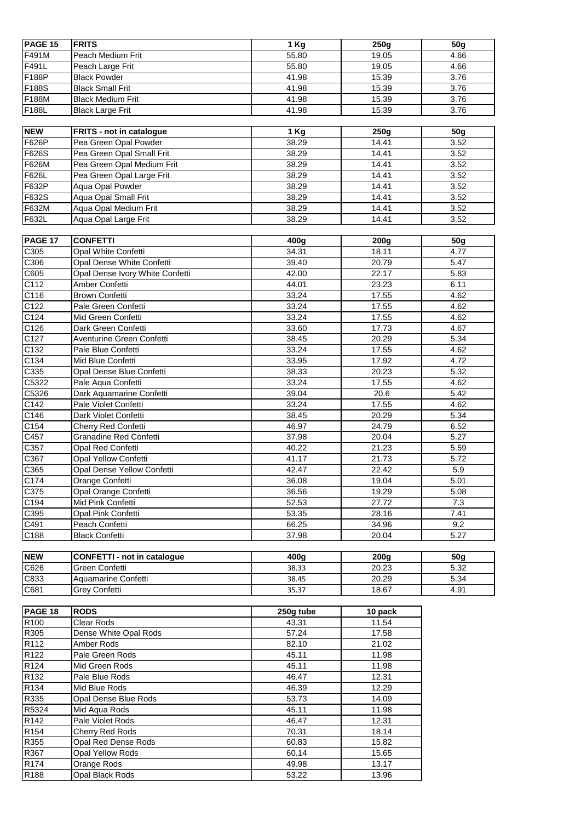| <b>PAGE 15</b>   | <b>FRITS</b>                       | 1 Kg      | 250g    | <b>50g</b>      |
|------------------|------------------------------------|-----------|---------|-----------------|
| F491M            | Peach Medium Frit                  | 55.80     | 19.05   | 4.66            |
| F491L            | Peach Large Frit                   | 55.80     | 19.05   | 4.66            |
| F188P            | <b>Black Powder</b>                | 41.98     | 15.39   | 3.76            |
| F188S            | <b>Black Small Frit</b>            | 41.98     | 15.39   | 3.76            |
| F188M            | <b>Black Medium Frit</b>           | 41.98     | 15.39   | 3.76            |
| F188L            | <b>Black Large Frit</b>            | 41.98     | 15.39   | 3.76            |
|                  |                                    |           |         |                 |
| <b>NEW</b>       | FRITS - not in catalogue           | 1 Kg      | 250g    | 50g             |
| F626P            | Pea Green Opal Powder              | 38.29     | 14.41   | 3.52            |
| F626S            | Pea Green Opal Small Frit          | 38.29     | 14.41   | 3.52            |
| F626M            | Pea Green Opal Medium Frit         | 38.29     | 14.41   | 3.52            |
| F626L            | Pea Green Opal Large Frit          | 38.29     | 14.41   | 3.52            |
| F632P            | Aqua Opal Powder                   | 38.29     | 14.41   | 3.52            |
| F632S            | Aqua Opal Small Frit               | 38.29     | 14.41   | 3.52            |
| F632M            | Aqua Opal Medium Frit              | 38.29     | 14.41   | 3.52            |
| F632L            | Aqua Opal Large Frit               | 38.29     | 14.41   | 3.52            |
|                  |                                    |           |         |                 |
| PAGE 17          | <b>CONFETTI</b>                    | 400g      | 200g    | 50g             |
| C305             | Opal White Confetti                | 34.31     | 18.11   | 4.77            |
| C306             | Opal Dense White Confetti          | 39.40     | 20.79   | 5.47            |
| C605             | Opal Dense Ivory White Confetti    | 42.00     | 22.17   | 5.83            |
| C112             | Amber Confetti                     | 44.01     | 23.23   | 6.11            |
| C116             | <b>Brown Confetti</b>              | 33.24     | 17.55   | 4.62            |
| C122             | Pale Green Confetti                | 33.24     | 17.55   | 4.62            |
| C <sub>124</sub> | Mid Green Confetti                 | 33.24     | 17.55   | 4.62            |
| C126             | Dark Green Confetti                | 33.60     | 17.73   | 4.67            |
| C127             | Aventurine Green Confetti          | 38.45     | 20.29   | 5.34            |
| C132             | Pale Blue Confetti                 | 33.24     | 17.55   | 4.62            |
| C134             | Mid Blue Confetti                  | 33.95     | 17.92   | 4.72            |
| C335             | Opal Dense Blue Confetti           | 38.33     | 20.23   | 5.32            |
| C5322            | Pale Aqua Confetti                 | 33.24     | 17.55   | 4.62            |
| C5326            | Dark Aquamarine Confetti           | 39.04     | 20.6    | 5.42            |
| C142             | Pale Violet Confetti               | 33.24     | 17.55   | 4.62            |
| C146             | Dark Violet Confetti               | 38.45     | 20.29   | 5.34            |
| C154             | Cherry Red Confetti                | 46.97     | 24.79   | 6.52            |
| C457             | <b>Granadine Red Confetti</b>      | 37.98     | 20.04   | 5.27            |
| C357             | Opal Red Confetti                  | 40.22     | 21.23   | 5.59            |
| C367             | Opal Yellow Confetti               | 41.17     | 21.73   | 5.72            |
| C365             | Opal Dense Yellow Confetti         | 42.47     | 22.42   | 5.9             |
| C174             | Orange Confetti                    | 36.08     | 19.04   | 5.01            |
| C375             | Opal Orange Confetti               | 36.56     | 19.29   | 5.08            |
| C194             | Mid Pink Confetti                  | 52.53     | 27.72   | 7.3             |
| C395             | Opal Pink Confetti                 | 53.35     | 28.16   | 7.41            |
| C491             | Peach Confetti                     | 66.25     | 34.96   | 9.2             |
| C188             | <b>Black Confetti</b>              | 37.98     | 20.04   | 5.27            |
|                  |                                    |           |         |                 |
| <b>NEW</b>       | <b>CONFETTI - not in catalogue</b> | 400g      | 200g    | 50 <sub>g</sub> |
| C626             | Green Confetti                     | 38.33     | 20.23   | 5.32            |
| C833             | Aquamarine Confetti                | 38.45     | 20.29   | 5.34            |
| C681             | Grey Confetti                      | 35.37     | 18.67   | 4.91            |
|                  |                                    |           |         |                 |
| PAGE 18          | <b>RODS</b>                        | 250g tube | 10 pack |                 |
| R100             | Clear Rods                         | 43.31     | 11.54   |                 |
| R305             | Dense White Opal Rods              | 57.24     | 17.58   |                 |
| R112             | Amber Rods                         | 82.10     | 21.02   |                 |
| R122             | Pale Green Rods                    | 45.11     | 11.98   |                 |
| R124             | Mid Green Rods                     | 45.11     | 11.98   |                 |
| R132             | Pale Blue Rods                     | 46.47     | 12.31   |                 |
| R134             | Mid Blue Rods                      | 46.39     | 12.29   |                 |
| R335             | Opal Dense Blue Rods               | 53.73     | 14.09   |                 |
| R5324            | Mid Aqua Rods                      | 45.11     | 11.98   |                 |
| R142             | Pale Violet Rods                   | 46.47     | 12.31   |                 |
| R <sub>154</sub> | Cherry Red Rods                    | 70.31     | 18.14   |                 |
| R355             | Opal Red Dense Rods                | 60.83     | 15.82   |                 |
| R367             | Opal Yellow Rods                   | 60.14     | 15.65   |                 |
| R <sub>174</sub> | Orange Rods                        | 49.98     | 13.17   |                 |
| R188             | Opal Black Rods                    | 53.22     | 13.96   |                 |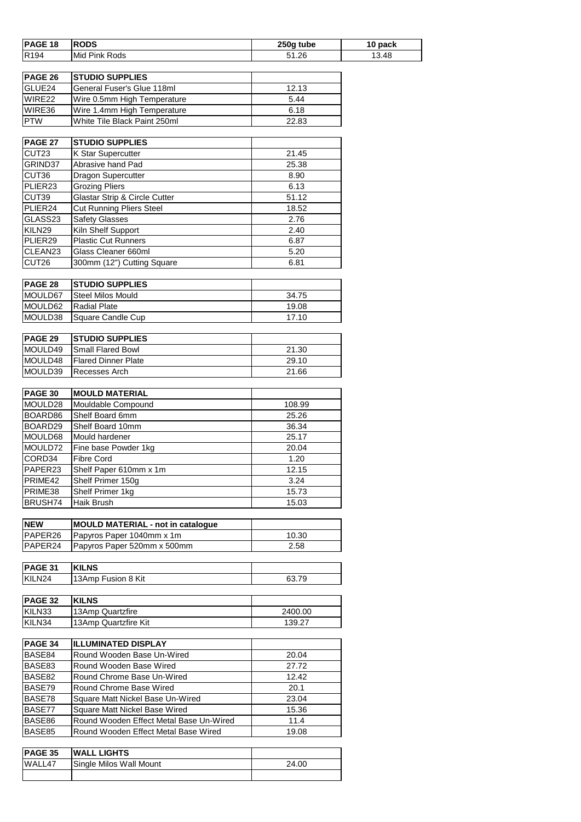| PAGE 18                     | <b>RODS</b>                              | 250g tube | 10 pack |
|-----------------------------|------------------------------------------|-----------|---------|
| R <sub>194</sub>            | Mid Pink Rods                            | 51.26     | 13.48   |
|                             |                                          |           |         |
|                             |                                          |           |         |
| PAGE 26                     | <b>STUDIO SUPPLIES</b>                   |           |         |
| GLUE24                      | General Fuser's Glue 118ml               | 12.13     |         |
| $\overline{\text{W}}$ IRE22 | Wire 0.5mm High Temperature              | 5.44      |         |
| WIRE36                      | Wire 1.4mm High Temperature              | 6.18      |         |
| <b>PTW</b>                  | White Tile Black Paint 250ml             | 22.83     |         |
|                             |                                          |           |         |
| PAGE 27                     | <b>STUDIO SUPPLIES</b>                   |           |         |
| CUT23                       | K Star Supercutter                       | 21.45     |         |
| GRIND37                     | Abrasive hand Pad                        | 25.38     |         |
| CUT36                       | Dragon Supercutter                       | 8.90      |         |
| PLIER23                     | <b>Grozing Pliers</b>                    | 6.13      |         |
| CUT39                       | Glastar Strip & Circle Cutter            | 51.12     |         |
| PLIER24                     | <b>Cut Running Pliers Steel</b>          | 18.52     |         |
| GLASS23                     | <b>Safety Glasses</b>                    | 2.76      |         |
| KILN29                      | Kiln Shelf Support                       | 2.40      |         |
| PLIER29                     | <b>Plastic Cut Runners</b>               | 6.87      |         |
| CLEAN23                     | Glass Cleaner 660ml                      | 5.20      |         |
| CUT26                       | 300mm (12") Cutting Square               | 6.81      |         |
|                             |                                          |           |         |
|                             |                                          |           |         |
| <b>PAGE 28</b>              | <b>STUDIO SUPPLIES</b>                   |           |         |
| MOULD67                     | <b>Steel Milos Mould</b>                 | 34.75     |         |
| MOULD62                     | <b>Radial Plate</b>                      | 19.08     |         |
| MOULD38                     | Square Candle Cup                        | 17.10     |         |
|                             |                                          |           |         |
| <b>PAGE 29</b>              | <b>STUDIO SUPPLIES</b>                   |           |         |
| MOULD49                     | <b>Small Flared Bowl</b>                 | 21.30     |         |
| MOULD48                     | <b>Flared Dinner Plate</b>               | 29.10     |         |
| MOULD39                     | Recesses Arch                            | 21.66     |         |
|                             |                                          |           |         |
| <b>PAGE 30</b>              | <b>MOULD MATERIAL</b>                    |           |         |
| MOULD28                     | Mouldable Compound                       | 108.99    |         |
| BOARD86                     | Shelf Board 6mm                          | 25.26     |         |
| BOARD29                     | Shelf Board 10mm                         | 36.34     |         |
| MOULD68                     | Mould hardener                           | 25.17     |         |
| MOULD72                     | Fine base Powder 1kg                     | 20.04     |         |
| CORD34                      | <b>Fibre Cord</b>                        | 1.20      |         |
|                             |                                          |           |         |
| PAPER23                     | Shelf Paper 610mm x 1m                   | 12.15     |         |
| PRIME42                     | Shelf Primer 150g                        | 3.24      |         |
| PRIME38                     | Shelf Primer 1kg                         | 15.73     |         |
| BRUSH74                     | Haik Brush                               | 15.03     |         |
|                             |                                          |           |         |
| <b>NEW</b>                  | <b>MOULD MATERIAL - not in catalogue</b> |           |         |
| PAPER26                     | Papyros Paper 1040mm x 1m                | 10.30     |         |
| PAPER24                     | Papyros Paper 520mm x 500mm              | 2.58      |         |
|                             |                                          |           |         |
| PAGE 31                     | <b>KILNS</b>                             |           |         |
| KILN24                      | 13Amp Fusion 8 Kit                       | 63.79     |         |
|                             |                                          |           |         |
| <b>PAGE 32</b>              | <b>KILNS</b>                             |           |         |
| KILN33                      | 13Amp Quartzfire                         | 2400.00   |         |
| KILN34                      | 13Amp Quartzfire Kit                     | 139.27    |         |
|                             |                                          |           |         |
| PAGE 34                     | <b>ILLUMINATED DISPLAY</b>               |           |         |
| BASE84                      | Round Wooden Base Un-Wired               | 20.04     |         |
|                             |                                          |           |         |
| BASE83                      | Round Wooden Base Wired                  | 27.72     |         |
| BASE82                      | Round Chrome Base Un-Wired               | 12.42     |         |
| BASE79                      | Round Chrome Base Wired                  | 20.1      |         |
| BASE78                      | Square Matt Nickel Base Un-Wired         | 23.04     |         |
| BASE77                      | Square Matt Nickel Base Wired            | 15.36     |         |
| BASE86                      | Round Wooden Effect Metal Base Un-Wired  | 11.4      |         |
| BASE85                      | Round Wooden Effect Metal Base Wired     | 19.08     |         |
|                             |                                          |           |         |
| PAGE 35                     | <b>WALL LIGHTS</b>                       |           |         |
| WALL47                      | Single Milos Wall Mount                  | 24.00     |         |
|                             |                                          |           |         |
|                             |                                          |           |         |